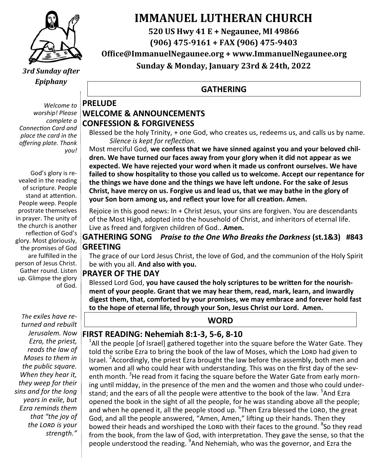

*3rd Sunday after Epiphany*

*Welcome to worship! Please complete a Connection Card and place the card in the offering plate. Thank you!*

God's glory is revealed in the reading of scripture. People stand at attention. People weep. People prostrate themselves in prayer. The unity of the church is another reflection of God's glory. Most gloriously, the promises of God are fulfilled in the person of Jesus Christ. Gather round. Listen up. Glimpse the glory of God.

*The exiles have returned and rebuilt Jerusalem. Now Ezra, the priest, reads the law of Moses to them in the public square. When they hear it, they weep for their sins and for the long years in exile, but Ezra reminds them that "the joy of the Lord is your strength."*

# **IMMANUEL LUTHERAN CHURCH**

**520 US Hwy 41 E + Negaunee, MI 49866**

**(906) 475-9161 + FAX (906) 475-9403**

**Office@ImmanuelNegaunee.org + www.ImmanuelNegaunee.org**

**Sunday & Monday, January 23rd & 24th, 2022**

#### **GATHERING**

#### **PRELUDE WELCOME & ANNOUNCEMENTS CONFESSION & FORGIVENESS**

Blessed be the holy Trinity, + one God, who creates us, redeems us, and calls us by name. *Silence is kept for reflection.*

Most merciful God, **we confess that we have sinned against you and your beloved children. We have turned our faces away from your glory when it did not appear as we expected. We have rejected your word when it made us confront ourselves. We have failed to show hospitality to those you called us to welcome. Accept our repentance for the things we have done and the things we have left undone. For the sake of Jesus Christ, have mercy on us. Forgive us and lead us, that we may bathe in the glory of your Son born among us, and reflect your love for all creation. Amen.**

Rejoice in this good news: In + Christ Jesus, your sins are forgiven. You are descendants of the Most High, adopted into the household of Christ, and inheritors of eternal life. Live as freed and forgiven children of God.. **Amen.**

#### **GATHERING SONG** *Praise to the One Who Breaks the Darkness* **(st.1&3) #843 GREETING**

The grace of our Lord Jesus Christ, the love of God, and the communion of the Holy Spirit be with you all. **And also with you.**

#### **PRAYER OF THE DAY**

Blessed Lord God, **you have caused the holy scriptures to be written for the nourishment of your people. Grant that we may hear them, read, mark, learn, and inwardly digest them, that, comforted by your promises, we may embrace and forever hold fast to the hope of eternal life, through your Son, Jesus Christ our Lord. Amen.**

#### **WORD**

#### **FIRST READING: Nehemiah 8:1-3, 5-6, 8-10**

 $<sup>1</sup>$ All the people [of Israel] gathered together into the square before the Water Gate. They</sup> told the scribe Ezra to bring the book of the law of Moses, which the LORD had given to Israel. <sup>2</sup> Accordingly, the priest Ezra brought the law before the assembly, both men and women and all who could hear with understanding. This was on the first day of the seventh month. <sup>3</sup>He read from it facing the square before the Water Gate from early morning until midday, in the presence of the men and the women and those who could understand; and the ears of all the people were attentive to the book of the law. <sup>5</sup>And Ezra opened the book in the sight of all the people, for he was standing above all the people; and when he opened it, all the people stood up. <sup>6</sup>Then Ezra blessed the LORD, the great God, and all the people answered, "Amen, Amen," lifting up their hands. Then they bowed their heads and worshiped the LORD with their faces to the ground. <sup>8</sup>So they read from the book, from the law of God, with interpretation. They gave the sense, so that the people understood the reading. <sup>9</sup>And Nehemiah, who was the governor, and Ezra the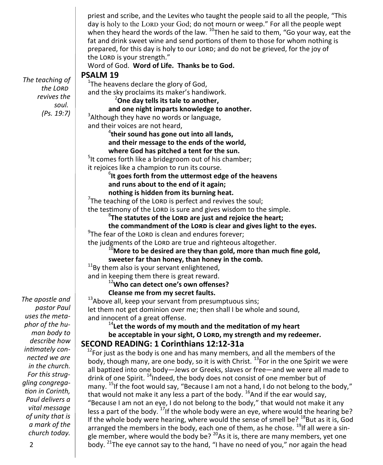priest and scribe, and the Levites who taught the people said to all the people, "This day is holy to the LORD your God; do not mourn or weep." For all the people wept when they heard the words of the law.  $^{10}$ Then he said to them, "Go your way, eat the fat and drink sweet wine and send portions of them to those for whom nothing is prepared, for this day is holy to our LORD; and do not be grieved, for the joy of the LORD is your strength." Word of God. **Word of Life. Thanks be to God. PSALM 19**  $1$ The heavens declare the glory of God, and the sky proclaims its maker's handiwork. <sup>2</sup>**One day tells its tale to another, and one night imparts knowledge to another.** <sup>3</sup> Although they have no words or language, and their voices are not heard, 4 **their sound has gone out into all lands, and their message to the ends of the world, where God has pitched a tent for the sun.** <sup>5</sup>It comes forth like a bridegroom out of his chamber; it rejoices like a champion to run its course. 6 **It goes forth from the uttermost edge of the heavens and runs about to the end of it again; nothing is hidden from its burning heat.**  $7$ The teaching of the LORD is perfect and revives the soul; the testimony of the LORD is sure and gives wisdom to the simple. 8 **The statutes of the Lord are just and rejoice the heart; the commandment of the Lord is clear and gives light to the eyes.**  $9$ The fear of the LORD is clean and endures forever; the judgments of the LORD are true and righteous altogether. <sup>10</sup>**More to be desired are they than gold, more than much fine gold, sweeter far than honey, than honey in the comb.**  $11$ Bv them also is your servant enlightened, and in keeping them there is great reward. <sup>12</sup>**Who can detect one's own offenses? Cleanse me from my secret faults.** <sup>13</sup>Above all, keep your servant from presumptuous sins; let them not get dominion over me; then shall I be whole and sound, and innocent of a great offense. <sup>14</sup> Let the words of my mouth and the meditation of my heart **be acceptable in your sight, O Lord, my strength and my redeemer. SECOND READING: 1 Corinthians 12:12-31a**  $12$ For just as the body is one and has many members, and all the members of the body, though many, are one body, so it is with Christ. <sup>13</sup>For in the one Spirit we were all baptized into one body—Jews or Greeks, slaves or free—and we were all made to drink of one Spirit. <sup>14</sup>Indeed, the body does not consist of one member but of many.  $^{15}$ If the foot would say, "Because I am not a hand, I do not belong to the body," that would not make it any less a part of the body.  $^{16}$ And if the ear would say, "Because I am not an eye, I do not belong to the body," that would not make it any less a part of the body.  $^{17}$ If the whole body were an eye, where would the hearing be? If the whole body were hearing, where would the sense of smell be?  $^{18}$ But as it is, God arranged the members in the body, each one of them, as he chose. <sup>19</sup>If all were a single member, where would the body be?  $^{20}$ As it is, there are many members, yet one *The teaching of the Lord revives the soul. (Ps. 19:7)*

body.  $^{21}$ The eye cannot say to the hand, "I have no need of you," nor again the head

*The apostle and pastor Paul uses the metaphor of the human body to describe how intimately connected we are in the church. For this struggling congregation in Corinth, Paul delivers a vital message of unity that is a mark of the church today.*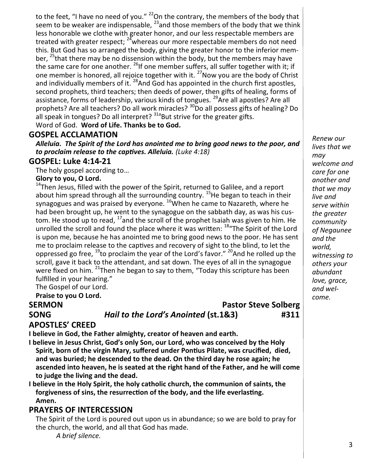to the feet, "I have no need of you." <sup>22</sup>On the contrary, the members of the body that seem to be weaker are indispensable,  $^{23}$  and those members of the body that we think less honorable we clothe with greater honor, and our less respectable members are treated with greater respect;  $24\pi$  whereas our more respectable members do not need this. But God has so arranged the body, giving the greater honor to the inferior member, <sup>25</sup>that there may be no dissension within the body, but the members may have the same care for one another.  $^{26}$ If one member suffers, all suffer together with it; if one member is honored, all rejoice together with it.  $27N$ ow you are the body of Christ and individually members of it. <sup>28</sup>And God has appointed in the church first apostles, second prophets, third teachers; then deeds of power, then gifts of healing, forms of assistance, forms of leadership, various kinds of tongues. <sup>29</sup>Are all apostles? Are all prophets? Are all teachers? Do all work miracles? <sup>30</sup>Do all possess gifts of healing? Do all speak in tongues? Do all interpret?  $31a$ But strive for the greater gifts. Word of God. **Word of Life. Thanks be to God.** 

#### **GOSPEL ACCLAMATION**

*Alleluia. The Spirit of the Lord has anointed me to bring good news to the poor, and to proclaim release to the captives. Alleluia. (Luke 4:18)*

#### **GOSPEL: Luke 4:14-21**

The holy gospel according to…

#### **Glory to you, O Lord.**

 $14$ Then Jesus, filled with the power of the Spirit, returned to Galilee, and a report about him spread through all the surrounding country.<sup>15</sup>He began to teach in their synagogues and was praised by everyone. <sup>16</sup>When he came to Nazareth, where he had been brought up, he went to the synagogue on the sabbath day, as was his custom. He stood up to read,  $^{17}$  and the scroll of the prophet Isaiah was given to him. He unrolled the scroll and found the place where it was written: <sup>18</sup> The Spirit of the Lord is upon me, because he has anointed me to bring good news to the poor. He has sent me to proclaim release to the captives and recovery of sight to the blind, to let the oppressed go free,  $^{19}$ to proclaim the year of the Lord's favor."  $^{20}$ And he rolled up the scroll, gave it back to the attendant, and sat down. The eyes of all in the synagogue were fixed on him. <sup>21</sup>Then he began to say to them, "Today this scripture has been fulfilled in your hearing."

The Gospel of our Lord.

**Praise to you O Lord.**

#### **SERMON Pastor Steve Solberg SONG** *Hail to the Lord's Anointed* **(st.1&3) #311**

**APOSTLES' CREED**

**I believe in God, the Father almighty, creator of heaven and earth.**

**I believe in Jesus Christ, God's only Son, our Lord, who was conceived by the Holy Spirit, born of the virgin Mary, suffered under Pontius Pilate, was crucified, died, and was buried; he descended to the dead. On the third day he rose again; he ascended into heaven, he is seated at the right hand of the Father, and he will come to judge the living and the dead.**

**I believe in the Holy Spirit, the holy catholic church, the communion of saints, the forgiveness of sins, the resurrection of the body, and the life everlasting. Amen.**

#### **PRAYERS OF INTERCESSION**

The Spirit of the Lord is poured out upon us in abundance; so we are bold to pray for the church, the world, and all that God has made.

*A brief silence.*

*Renew our lives that we may welcome and care for one another and that we may live and serve within the greater community of Negaunee and the world, witnessing to others your abundant love, grace, and welcome.*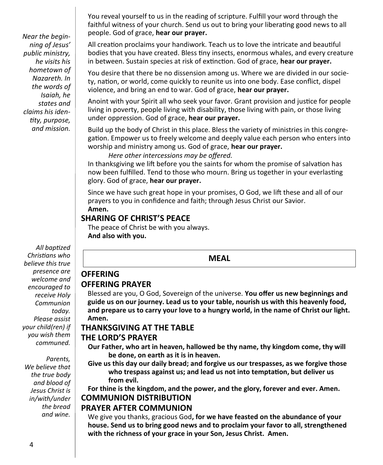*Near the beginning of Jesus' public ministry, he visits his hometown of Nazareth. In the words of Isaiah, he states and claims his identity, purpose, and mission.*

*All baptized Christians who believe this true presence are welcome and encouraged to receive Holy Communion today. Please assist your child(ren) if you wish them communed.*

*Parents, We believe that the true body and blood of Jesus Christ is in/with/under the bread and wine.* 

You reveal yourself to us in the reading of scripture. Fulfill your word through the faithful witness of your church. Send us out to bring your liberating good news to all people. God of grace, **hear our prayer.**

All creation proclaims your handiwork. Teach us to love the intricate and beautiful bodies that you have created. Bless tiny insects, enormous whales, and every creature in between. Sustain species at risk of extinction. God of grace, **hear our prayer.**

You desire that there be no dissension among us. Where we are divided in our society, nation, or world, come quickly to reunite us into one body. Ease conflict, dispel violence, and bring an end to war. God of grace, **hear our prayer.**

Anoint with your Spirit all who seek your favor. Grant provision and justice for people living in poverty, people living with disability, those living with pain, or those living under oppression. God of grace, **hear our prayer.**

Build up the body of Christ in this place. Bless the variety of ministries in this congregation. Empower us to freely welcome and deeply value each person who enters into worship and ministry among us. God of grace, **hear our prayer.**

*Here other intercessions may be offered.*

In thanksgiving we lift before you the saints for whom the promise of salvation has now been fulfilled. Tend to those who mourn. Bring us together in your everlasting glory. God of grace, **hear our prayer.**

Since we have such great hope in your promises, O God, we lift these and all of our prayers to you in confidence and faith; through Jesus Christ our Savior. **Amen.**

#### **SHARING OF CHRIST'S PEACE**

The peace of Christ be with you always. **And also with you.**

#### **MEAL**

## **OFFERING PRAYER**

**OFFERING**

Blessed are you, O God, Sovereign of the universe. **You offer us new beginnings and guide us on our journey. Lead us to your table, nourish us with this heavenly food, and prepare us to carry your love to a hungry world, in the name of Christ our light. Amen.**

#### **THANKSGIVING AT THE TABLE**

#### **THE LORD'S PRAYER**

- **Our Father, who art in heaven, hallowed be thy name, thy kingdom come, thy will be done, on earth as it is in heaven.**
- **Give us this day our daily bread; and forgive us our trespasses, as we forgive those who trespass against us; and lead us not into temptation, but deliver us from evil.**

**For thine is the kingdom, and the power, and the glory, forever and ever. Amen. COMMUNION DISTRIBUTION**

#### **PRAYER AFTER COMMUNION**

We give you thanks, gracious God**, for we have feasted on the abundance of your house. Send us to bring good news and to proclaim your favor to all, strengthened with the richness of your grace in your Son, Jesus Christ. Amen.**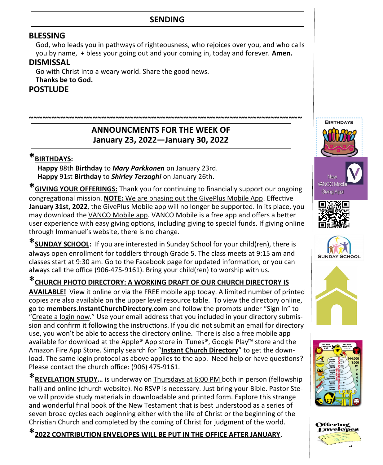#### **SENDING**

#### **BLESSING**

God, who leads you in pathways of righteousness, who rejoices over you, and who calls you by name, + bless your going out and your coming in, today and forever. **Amen.**

#### **DISMISSAL**

Go with Christ into a weary world. Share the good news.

**Thanks be to God.**

**POSTLUDE**

#### **ANNOUNCMENTS FOR THE WEEK OF January 23, 2022—January 30, 2022**

**~~~~~~~~~~~~~~~~~~~~~~~~~~~~~~~~~~~~~~~~~~~~~~~~~~~~~~~~~~~~**

### **\*BIRTHDAYS:**

 **Happy** 88th **Birthday** to *Mary Parkkonen* on January 23rd. **Happy** 91st **Birthday** to *Shirley Terzaghi* on January 26th.

**\*GIVING YOUR OFFERINGS:** Thank you for continuing to financially support our ongoing congregational mission. **NOTE:** We are phasing out the GivePlus Mobile App. Effective **January 31st, 2022**, the GivePlus Mobile app will no longer be supported. In its place, you may download the VANCO Mobile app. VANCO Mobile is a free app and offers a better user experience with easy giving options, including giving to special funds. If giving online through Immanuel's website, there is no change.

**\*SUNDAY SCHOOL:** If you are interested in Sunday School for your child(ren), there is always open enrollment for toddlers through Grade 5. The class meets at 9:15 am and classes start at 9:30 am. Go to the Facebook page for updated information, or you can always call the office (906-475-9161). Bring your child(ren) to worship with us.

### **\*CHURCH PHOTO DIRECTORY: A WORKING DRAFT OF OUR CHURCH DIRECTORY IS**

**AVAILABLE!** View it online or via the FREE mobile app today. A limited number of printed copies are also available on the upper level resource table. To view the directory online, go to **members.InstantChurchDirectory.com** and follow the prompts under "Sign In" to "Create a login now." Use your email address that you included in your directory submission and confirm it following the instructions. If you did not submit an email for directory use, you won't be able to access the directory online. There is also a free mobile app available for download at the Apple® App store in iTunes®, Google Play™ store and the Amazon Fire App Store. Simply search for "**Instant Church Directory**" to get the download. The same login protocol as above applies to the app. Need help or have questions? Please contact the church office: (906) 475-9161.

**\*REVELATION STUDY…** is underway on Thursdays at 6:00 PM both in person (fellowship hall) and online (church website). No RSVP is necessary. Just bring your Bible. Pastor Steve will provide study materials in downloadable and printed form. Explore this strange and wonderful final book of the New Testament that is best understood as a series of seven broad cycles each beginning either with the life of Christ or the beginning of the Christian Church and completed by the coming of Christ for judgment of the world.

**\*2022 CONTRIBUTION ENVELOPES WILL BE PUT IN THE OFFICE AFTER JANUARY**.



**BIRTHDAYS** 





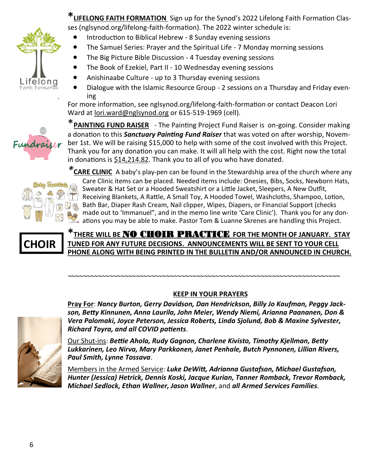

*.*

**\*LIFELONG FAITH FORMATION** Sign up for the Synod's 2022 Lifelong Faith Formation Classes (nglsynod.org/lifelong-faith-formation). The 2022 winter schedule is:

- Introduction to Biblical Hebrew 8 Sunday evening sessions
- The Samuel Series: Prayer and the Spiritual Life 7 Monday morning sessions
- The Big Picture Bible Discussion 4 Tuesday evening sessions
- The Book of Ezekiel, Part II 10 Wednesday evening sessions
- Anishinaabe Culture up to 3 Thursday evening sessions
- Dialogue with the Islamic Resource Group 2 sessions on a Thursday and Friday evening

For more information, see nglsynod.org/lifelong-faith-formation or contact Deacon Lori Ward at [lori.ward@nglsynod.org](mailto:lori.ward@nglsynod.org) or 615-519-1969 (cell).

\***PAINTING FUND RAISER** - The Painting Project Fund Raiser is on-going. Consider making a donation to this *Sanctuary Painting Fund Raiser* that was voted on after worship, November 1st. We will be raising \$15,000 to help with some of the cost involved with this Project. Thank you for any donation you can make. It will all help with the cost. Right now the total in donations is \$14,214.82. Thank you to all of you who have donated.



*\****CARE CLINIC** A baby's play-pen can be found in the Stewardship area of the church where any Care Clinic items can be placed. Needed items include: Onesies, Bibs, Socks, Newborn Hats, Sweater & Hat Set or a Hooded Sweatshirt or a Little Jacket, Sleepers, A New Outfit, Receiving Blankets, A Rattle, A Small Toy, A Hooded Towel, Washcloths, Shampoo, Lotion, Bath Bar, Diaper Rash Cream, Nail clipper, Wipes, Diapers, or Financial Support (checks made out to 'Immanuel", and in the memo line write 'Care Clinic'). Thank you for any donations you may be able to make. Pastor Tom & Luanne Skrenes are handling this Project.

# **CHOIR**

**\*THERE WILL BE** NO CHOIR PRACTICE **FOR THE MONTH OF JANUARY. STAY TUNED FOR ANY FUTURE DECISIONS. ANNOUNCEMENTS WILL BE SENT TO YOUR CELL PHONE ALONG WITH BEING PRINTED IN THE BULLETIN AND/OR ANNOUNCED IN CHURCH.**

#### **KEEP IN YOUR PRAYERS**

*~~~~~~~~~~~~~~~~~~~~~~~~~~~~~~~~~~~~~~~~~~~~~~~~~~~~~~~~~~~~~~~~~~~~~~~~*

**Pray For**: *Nancy Burton, Gerry Davidson, Dan Hendrickson, Billy Jo Kaufman, Peggy Jackson, Betty Kinnunen, Anna Laurila, John Meier, Wendy Niemi, Arianna Paananen, Don & Vera Palomaki, Joyce Peterson, Jessica Roberts, Linda Sjolund, Bob & Maxine Sylvester, Richard Toyra, and all COVID patients*.



Our Shut-ins: *Bettie Ahola, Rudy Gagnon, Charlene Kivisto, Timothy Kjellman, Betty Lukkarinen, Leo Nirva, Mary Parkkonen, Janet Penhale, Butch Pynnonen, Lillian Rivers, Paul Smith, Lynne Tossava*.

Members in the Armed Service: *Luke DeWitt, Adrianna Gustafson, Michael Gustafson, Hunter (Jessica) Hetrick, Dennis Koski, Jacque Kurian, Tanner Romback, Trevor Romback, Michael Sedlock, Ethan Wallner, Jason Wallner*, and *all Armed Services Families.*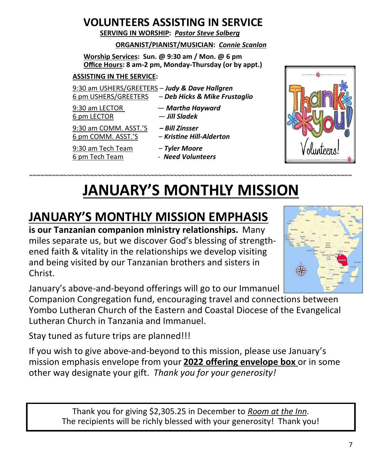# **VOLUNTEERS ASSISTING IN SERVICE**

 **SERVING IN WORSHIP:** *Pastor Steve Solberg*

#### **ORGANIST/PIANIST/MUSICIAN:** *Connie Scanlon*

**Worship Services: Sun. @ 9:30 am / Mon. @ 6 pm Office Hours: 8 am-2 pm, Monday-Thursday (or by appt.)**

#### **ASSISTING IN THE SERVICE:**

9:30 am USHERS/GREETERS – *Judy & Dave Hallgren* 6 pm USHERS/GREETERS – *Deb Hicks & Mike Frustaglio*

9:30 am LECTOR — *Martha Hayward*

9:30 am COMM. ASST.'S *– Bill Zinsser*

- 6 pm LECTOR *Jill Sladek*
- 6 pm COMM. ASST.'S *Kristine Hill-Alderton*

9:30 am Tech Team – *Tyler Moore* 6 pm Tech Team - *Need Volunteers*

V olunteena

# *~~~~~~~~~~~~~~~~~~~~~~~~~~~~~~~~~~~~~~~~~~~~~~~~~~~~~~~~~~~~~~~~~~~~~~~~~~~~~~~~~~~~~* **JANUARY'S MONTHLY MISSION**

# **JANUARY'S MONTHLY MISSION EMPHASIS**

**is our Tanzanian companion ministry relationships.** Many miles separate us, but we discover God's blessing of strengthened faith & vitality in the relationships we develop visiting and being visited by our Tanzanian brothers and sisters in Christ.



January's above-and-beyond offerings will go to our Immanuel

Companion Congregation fund, encouraging travel and connections between Yombo Lutheran Church of the Eastern and Coastal Diocese of the Evangelical Lutheran Church in Tanzania and Immanuel.

Stay tuned as future trips are planned!!!

If you wish to give above-and-beyond to this mission, please use January's mission emphasis envelope from your **2022 offering envelope box** or in some other way designate your gift. *Thank you for your generosity!* 

> Thank you for giving \$2,305.25 in December to *Room at the Inn*. The recipients will be richly blessed with your generosity! Thank you!